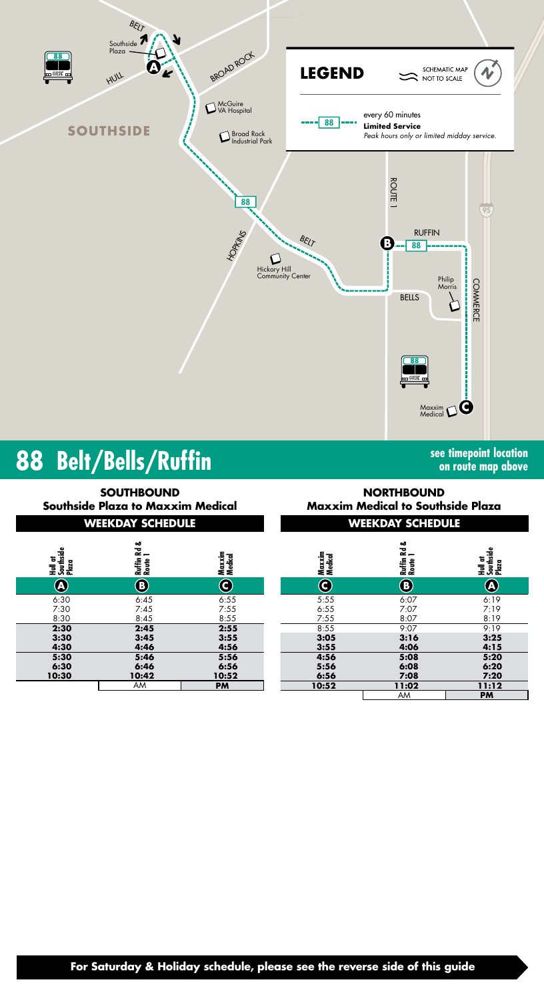

# **88 Belt/Bells/Ruffin**

**Hull at Southside Plaza**

**WEEKDAY SCHEDULE WEEKDAY SCHEDULE SOUTHBOUND Southside Plaza to Maxxim Medical**

6:30 6:45 6:55 7:30 7:45 7:55<br>8:30 8:45 8:55 8:30 8:45 8:45 **2:30 2:45 2:55 3:30 3:45 3:55 4:30 4:46 4:56 5:30 5:46 5:56 6:30 6:46 6:56 10:30 10:42 10:52**

| see timepoint location |  |  |
|------------------------|--|--|
| on route map above     |  |  |

|                         | <b>SOUTHBOUND</b><br>uthside Plaza to Maxxim Medical |                       | <b>NORTHBOUND</b><br><b>Maxxim Medical to Southside Plaza</b> |                           |                                 |
|-------------------------|------------------------------------------------------|-----------------------|---------------------------------------------------------------|---------------------------|---------------------------------|
|                         | <b>WEEKDAY SCHEDULE</b>                              |                       | <b>WEEKDAY SCHEDULE</b>                                       |                           |                                 |
| Southside<br>Plaza      | Rd &<br>Ruffin I<br>Route I                          | Maxxim<br>Medical     | Maxxim<br>Medical                                             | ఱ<br>굲<br>Ruffin<br>Route | Southside<br>Plaza<br>te<br>Tel |
| $\overline{\mathbf{A}}$ | <b>O</b>                                             | $\bf C$               | C                                                             | B)                        | <b>A</b>                        |
| :30<br>:30<br>:30       | 6:45<br>7:45<br>8:45                                 | 6:55<br>7:55<br>8:55  | 5:55<br>6:55<br>7:55                                          | 6:07<br>7:07<br>8:07      | 6:19<br>7:19<br>8:19            |
| :30<br>:30<br>:30       | 2:45<br>3:45<br>4:46                                 | 2:55<br>3:55<br>4:56  | 8:55<br>3:05<br>3:55                                          | 9:07<br>3:16<br>4:06      | 9:19<br>3:25<br>4:15            |
| :30<br>:30<br>:30       | 5:46<br>6:46<br>10:42                                | 5:56<br>6:56<br>10:52 | 4:56<br>5:56<br>6:56                                          | 5:08<br>6:08<br>7:08      | 5:20<br>6:20<br>7:20            |

AM **PM**

**For Saturday & Holiday schedule, please see the reverse side of this guide**

AM **PM 10:52 11:02 11:12**